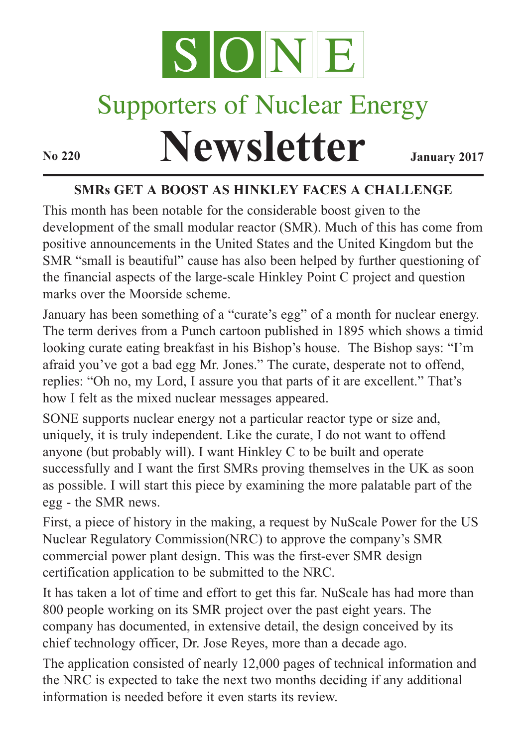

# Supporters of Nuclear Energy

# **Newsletter January** 2017

# **SMRs GET A BOOST AS HINKLEY FACES A CHALLENGE**

This month has been notable for the considerable boost given to the development of the small modular reactor (SMR). Much of this has come from positive announcements in the United States and the United Kingdom but the SMR "small is beautiful" cause has also been helped by further questioning of the financial aspects of the large-scale Hinkley Point C project and question marks over the Moorside scheme.

January has been something of a "curate's egg" of a month for nuclear energy. The term derives from a Punch cartoon published in 1895 which shows a timid looking curate eating breakfast in his Bishop's house. The Bishop says: "I'm afraid you've got a bad egg Mr. Jones." The curate, desperate not to offend, replies: "Oh no, my Lord, I assure you that parts of it are excellent." That's how I felt as the mixed nuclear messages appeared.

SONE supports nuclear energy not a particular reactor type or size and, uniquely, it is truly independent. Like the curate, I do not want to offend anyone (but probably will). I want Hinkley C to be built and operate successfully and I want the first SMRs proving themselves in the UK as soon as possible. I will start this piece by examining the more palatable part of the egg - the SMR news.

First, a piece of history in the making, a request by NuScale Power for the US Nuclear Regulatory Commission(NRC) to approve the company's SMR commercial power plant design. This was the first-ever SMR design certification application to be submitted to the NRC.

It has taken a lot of time and effort to get this far. NuScale has had more than 800 people working on its SMR project over the past eight years. The company has documented, in extensive detail, the design conceived by its chief technology officer, Dr. Jose Reyes, more than a decade ago.

The application consisted of nearly 12,000 pages of technical information and the NRC is expected to take the next two months deciding if any additional information is needed before it even starts its review.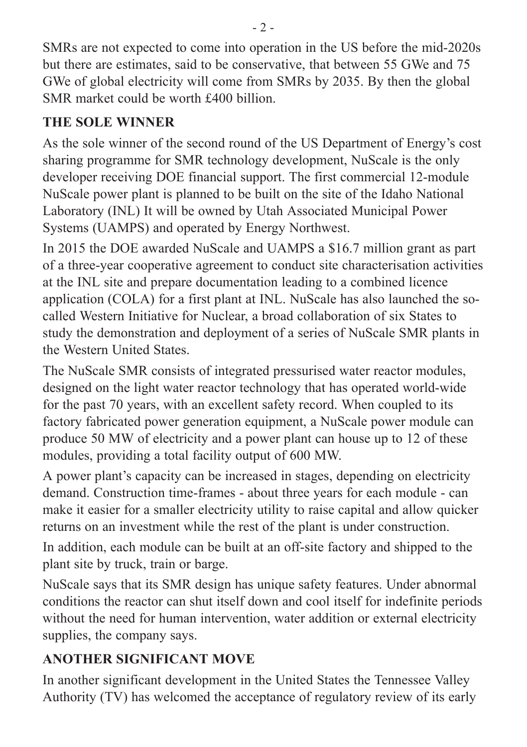SMRs are not expected to come into operation in the US before the mid-2020s but there are estimates, said to be conservative, that between 55 GWe and 75 GWe of global electricity will come from SMRs by 2035. By then the global SMR market could be worth £400 billion.

# **THE SOLE WINNER**

As the sole winner of the second round of the US Department of Energy's cost sharing programme for SMR technology development, NuScale is the only developer receiving DOE financial support. The first commercial 12-module NuScale power plant is planned to be built on the site of the Idaho National Laboratory (INL) It will be owned by Utah Associated Municipal Power Systems (UAMPS) and operated by Energy Northwest.

In 2015 the DOE awarded NuScale and UAMPS a \$16.7 million grant as part of a three-year cooperative agreement to conduct site characterisation activities at the INL site and prepare documentation leading to a combined licence application (COLA) for a first plant at INL. NuScale has also launched the socalled Western Initiative for Nuclear, a broad collaboration of six States to study the demonstration and deployment of a series of NuScale SMR plants in the Western United States.

The NuScale SMR consists of integrated pressurised water reactor modules, designed on the light water reactor technology that has operated world-wide for the past 70 years, with an excellent safety record. When coupled to its factory fabricated power generation equipment, a NuScale power module can produce 50 MW of electricity and a power plant can house up to 12 of these modules, providing a total facility output of 600 MW.

A power plant's capacity can be increased in stages, depending on electricity demand. Construction time-frames - about three years for each module - can make it easier for a smaller electricity utility to raise capital and allow quicker returns on an investment while the rest of the plant is under construction.

In addition, each module can be built at an off-site factory and shipped to the plant site by truck, train or barge.

NuScale says that its SMR design has unique safety features. Under abnormal conditions the reactor can shut itself down and cool itself for indefinite periods without the need for human intervention, water addition or external electricity supplies, the company says.

# **ANOTHER SIGNIFICANT MOVE**

In another significant development in the United States the Tennessee Valley Authority (TV) has welcomed the acceptance of regulatory review of its early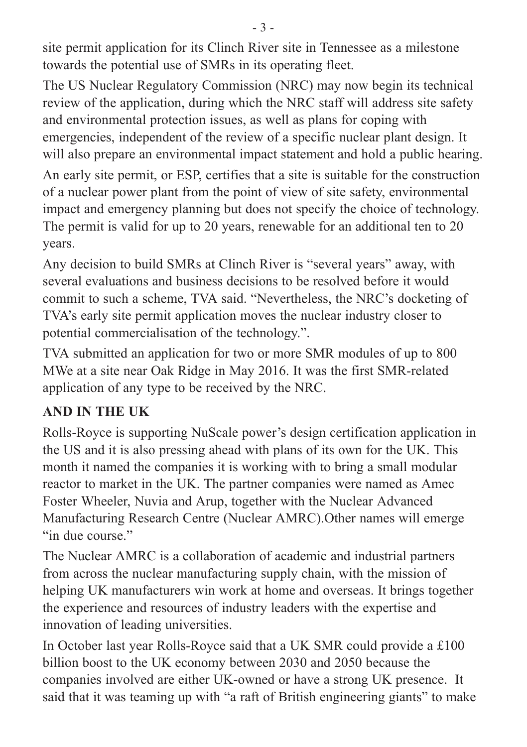site permit application for its Clinch River site in Tennessee as a milestone towards the potential use of SMRs in its operating fleet.

The US Nuclear Regulatory Commission (NRC) may now begin its technical review of the application, during which the NRC staff will address site safety and environmental protection issues, as well as plans for coping with emergencies, independent of the review of a specific nuclear plant design. It will also prepare an environmental impact statement and hold a public hearing.

An early site permit, or ESP, certifies that a site is suitable for the construction of a nuclear power plant from the point of view of site safety, environmental impact and emergency planning but does not specify the choice of technology. The permit is valid for up to 20 years, renewable for an additional ten to 20 years.

Any decision to build SMRs at Clinch River is "several years" away, with several evaluations and business decisions to be resolved before it would commit to such a scheme, TVA said. "Nevertheless, the NRC's docketing of TVA's early site permit application moves the nuclear industry closer to potential commercialisation of the technology.".

TVA submitted an application for two or more SMR modules of up to 800 MWe at a site near Oak Ridge in May 2016. It was the first SMR-related application of any type to be received by the NRC.

#### **AND IN THE UK**

Rolls-Royce is supporting NuScale power's design certification application in the US and it is also pressing ahead with plans of its own for the UK. This month it named the companies it is working with to bring a small modular reactor to market in the UK. The partner companies were named as Amec Foster Wheeler, Nuvia and Arup, together with the Nuclear Advanced Manufacturing Research Centre (Nuclear AMRC).Other names will emerge "in due course."

The Nuclear AMRC is a collaboration of academic and industrial partners from across the nuclear manufacturing supply chain, with the mission of helping UK manufacturers win work at home and overseas. It brings together the experience and resources of industry leaders with the expertise and innovation of leading universities.

In October last year Rolls-Royce said that a UK SMR could provide a £100 billion boost to the UK economy between 2030 and 2050 because the companies involved are either UK-owned or have a strong UK presence. It said that it was teaming up with "a raft of British engineering giants" to make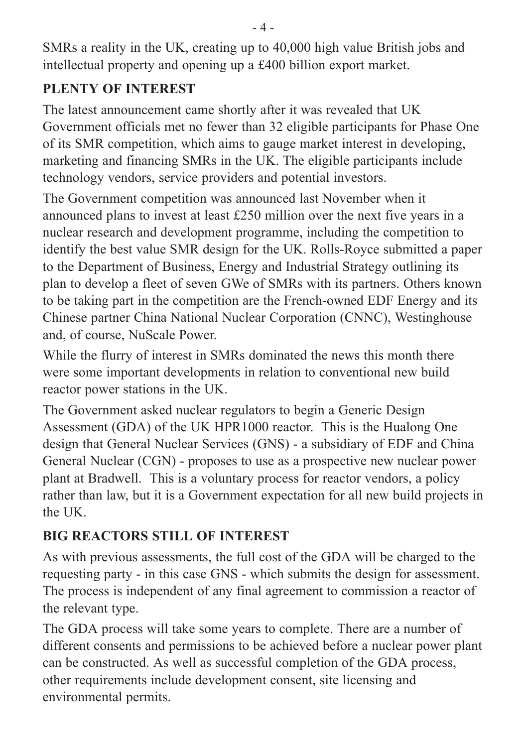SMRs a reality in the UK, creating up to 40,000 high value British jobs and intellectual property and opening up a £400 billion export market.

## **PLENTY OF INTEREST**

The latest announcement came shortly after it was revealed that UK Government officials met no fewer than 32 eligible participants for Phase One of its SMR competition, which aims to gauge market interest in developing, marketing and financing SMRs in the UK. The eligible participants include technology vendors, service providers and potential investors.

The Government competition was announced last November when it announced plans to invest at least £250 million over the next five years in a nuclear research and development programme, including the competition to identify the best value SMR design for the UK. Rolls-Royce submitted a paper to the Department of Business, Energy and Industrial Strategy outlining its plan to develop a fleet of seven GWe of SMRs with its partners. Others known to be taking part in the competition are the French-owned EDF Energy and its Chinese partner China National Nuclear Corporation (CNNC), Westinghouse and, of course, NuScale Power.

While the flurry of interest in SMRs dominated the news this month there were some important developments in relation to conventional new build reactor power stations in the UK.

The Government asked nuclear regulators to begin a Generic Design Assessment (GDA) of the UK HPR1000 reactor. This is the Hualong One design that General Nuclear Services (GNS) - a subsidiary of EDF and China General Nuclear (CGN) - proposes to use as a prospective new nuclear power plant at Bradwell. This is a voluntary process for reactor vendors, a policy rather than law, but it is a Government expectation for all new build projects in the UK.

# **BIG REACTORS STILL OF INTEREST**

As with previous assessments, the full cost of the GDA will be charged to the requesting party - in this case GNS - which submits the design for assessment. The process is independent of any final agreement to commission a reactor of the relevant type.

The GDA process will take some years to complete. There are a number of different consents and permissions to be achieved before a nuclear power plant can be constructed. As well as successful completion of the GDA process, other requirements include development consent, site licensing and environmental permits.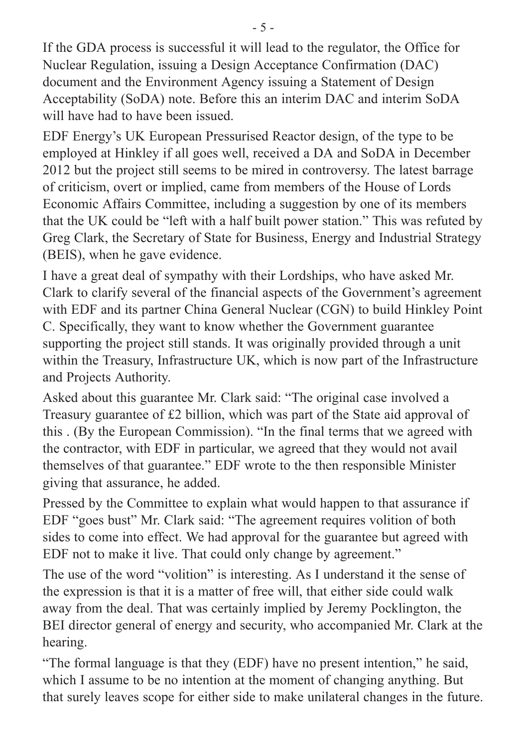If the GDA process is successful it will lead to the regulator, the Office for Nuclear Regulation, issuing a Design Acceptance Confirmation (DAC) document and the Environment Agency issuing a Statement of Design Acceptability (SoDA) note. Before this an interim DAC and interim SoDA will have had to have been issued.

EDF Energy's UK European Pressurised Reactor design, of the type to be employed at Hinkley if all goes well, received a DA and SoDA in December 2012 but the project still seems to be mired in controversy. The latest barrage of criticism, overt or implied, came from members of the House of Lords Economic Affairs Committee, including a suggestion by one of its members that the UK could be "left with a half built power station." This was refuted by Greg Clark, the Secretary of State for Business, Energy and Industrial Strategy (BEIS), when he gave evidence.

I have a great deal of sympathy with their Lordships, who have asked Mr. Clark to clarify several of the financial aspects of the Government's agreement with EDF and its partner China General Nuclear (CGN) to build Hinkley Point C. Specifically, they want to know whether the Government guarantee supporting the project still stands. It was originally provided through a unit within the Treasury, Infrastructure UK, which is now part of the Infrastructure and Projects Authority.

Asked about this guarantee Mr. Clark said: "The original case involved a Treasury guarantee of £2 billion, which was part of the State aid approval of this . (By the European Commission). "In the final terms that we agreed with the contractor, with EDF in particular, we agreed that they would not avail themselves of that guarantee." EDF wrote to the then responsible Minister giving that assurance, he added.

Pressed by the Committee to explain what would happen to that assurance if EDF "goes bust" Mr. Clark said: "The agreement requires volition of both sides to come into effect. We had approval for the guarantee but agreed with EDF not to make it live. That could only change by agreement."

The use of the word "volition" is interesting. As I understand it the sense of the expression is that it is a matter of free will, that either side could walk away from the deal. That was certainly implied by Jeremy Pocklington, the BEI director general of energy and security, who accompanied Mr. Clark at the hearing.

"The formal language is that they (EDF) have no present intention," he said, which I assume to be no intention at the moment of changing anything. But that surely leaves scope for either side to make unilateral changes in the future.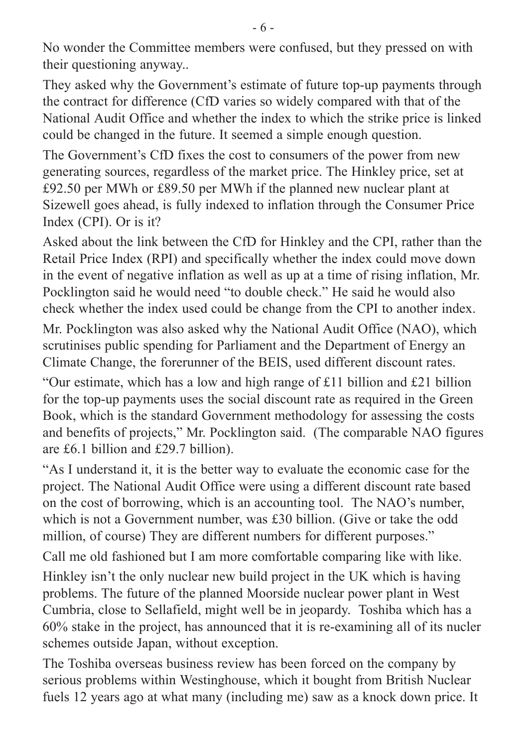No wonder the Committee members were confused, but they pressed on with their questioning anyway..

They asked why the Government's estimate of future top-up payments through the contract for difference (CfD varies so widely compared with that of the National Audit Office and whether the index to which the strike price is linked could be changed in the future. It seemed a simple enough question.

The Government's CfD fixes the cost to consumers of the power from new generating sources, regardless of the market price. The Hinkley price, set at £92.50 per MWh or £89.50 per MWh if the planned new nuclear plant at Sizewell goes ahead, is fully indexed to inflation through the Consumer Price Index (CPI). Or is it?

Asked about the link between the CfD for Hinkley and the CPI, rather than the Retail Price Index (RPI) and specifically whether the index could move down in the event of negative inflation as well as up at a time of rising inflation, Mr. Pocklington said he would need "to double check." He said he would also check whether the index used could be change from the CPI to another index.

Mr. Pocklington was also asked why the National Audit Office (NAO), which scrutinises public spending for Parliament and the Department of Energy an Climate Change, the forerunner of the BEIS, used different discount rates.

"Our estimate, which has a low and high range of £11 billion and £21 billion for the top-up payments uses the social discount rate as required in the Green Book, which is the standard Government methodology for assessing the costs and benefits of projects," Mr. Pocklington said. (The comparable NAO figures are £6.1 billion and £29.7 billion).

"As I understand it, it is the better way to evaluate the economic case for the project. The National Audit Office were using a different discount rate based on the cost of borrowing, which is an accounting tool. The NAO's number, which is not a Government number, was £30 billion. (Give or take the odd million, of course) They are different numbers for different purposes."

Call me old fashioned but I am more comfortable comparing like with like.

Hinkley isn't the only nuclear new build project in the UK which is having problems. The future of the planned Moorside nuclear power plant in West Cumbria, close to Sellafield, might well be in jeopardy. Toshiba which has a 60% stake in the project, has announced that it is re-examining all of its nucler schemes outside Japan, without exception.

The Toshiba overseas business review has been forced on the company by serious problems within Westinghouse, which it bought from British Nuclear fuels 12 years ago at what many (including me) saw as a knock down price. It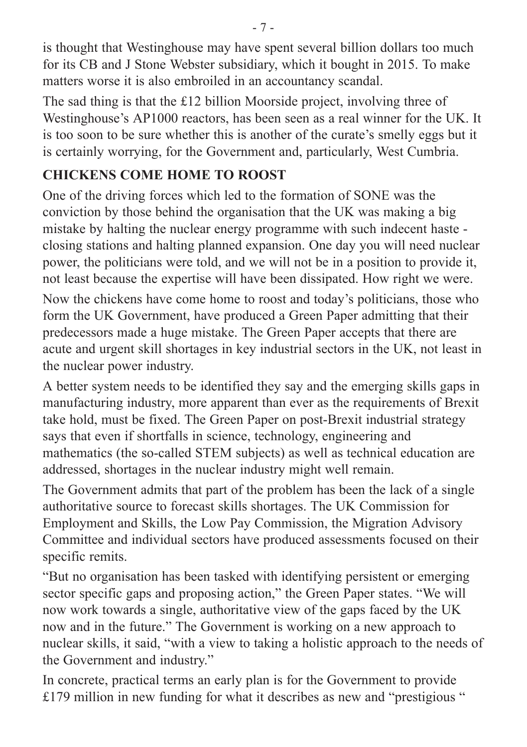is thought that Westinghouse may have spent several billion dollars too much for its CB and J Stone Webster subsidiary, which it bought in 2015. To make matters worse it is also embroiled in an accountancy scandal.

The sad thing is that the £12 billion Moorside project, involving three of Westinghouse's AP1000 reactors, has been seen as a real winner for the UK. It is too soon to be sure whether this is another of the curate's smelly eggs but it is certainly worrying, for the Government and, particularly, West Cumbria.

## **CHICKENS COME HOME TO ROOST**

One of the driving forces which led to the formation of SONE was the conviction by those behind the organisation that the UK was making a big mistake by halting the nuclear energy programme with such indecent haste closing stations and halting planned expansion. One day you will need nuclear power, the politicians were told, and we will not be in a position to provide it, not least because the expertise will have been dissipated. How right we were.

Now the chickens have come home to roost and today's politicians, those who form the UK Government, have produced a Green Paper admitting that their predecessors made a huge mistake. The Green Paper accepts that there are acute and urgent skill shortages in key industrial sectors in the UK, not least in the nuclear power industry.

A better system needs to be identified they say and the emerging skills gaps in manufacturing industry, more apparent than ever as the requirements of Brexit take hold, must be fixed. The Green Paper on post-Brexit industrial strategy says that even if shortfalls in science, technology, engineering and mathematics (the so-called STEM subjects) as well as technical education are addressed, shortages in the nuclear industry might well remain.

The Government admits that part of the problem has been the lack of a single authoritative source to forecast skills shortages. The UK Commission for Employment and Skills, the Low Pay Commission, the Migration Advisory Committee and individual sectors have produced assessments focused on their specific remits.

"But no organisation has been tasked with identifying persistent or emerging sector specific gaps and proposing action," the Green Paper states. "We will now work towards a single, authoritative view of the gaps faced by the UK now and in the future." The Government is working on a new approach to nuclear skills, it said, "with a view to taking a holistic approach to the needs of the Government and industry."

In concrete, practical terms an early plan is for the Government to provide £179 million in new funding for what it describes as new and "prestigious "